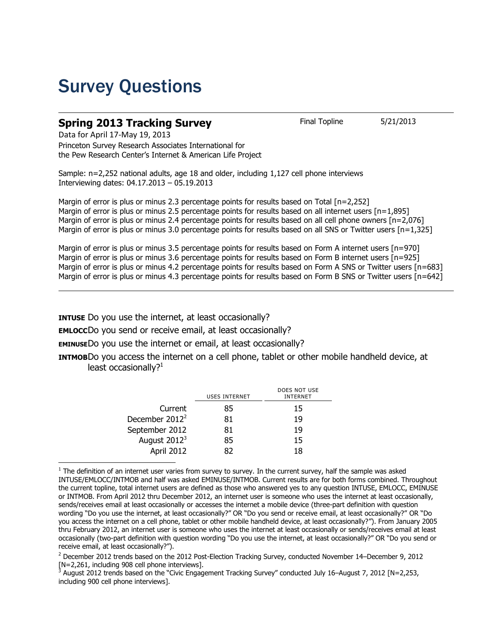## Survey Questions

### **Spring 2013 Tracking Survey** Final Topline 5/21/2013

Data for April 17-May 19, 2013

Princeton Survey Research Associates International for the Pew Research Center's Internet & American Life Project

Sample: n=2,252 national adults, age 18 and older, including 1,127 cell phone interviews Interviewing dates: 04.17.2013 – 05.19.2013

Margin of error is plus or minus 2.3 percentage points for results based on Total [n=2,252] Margin of error is plus or minus 2.5 percentage points for results based on all internet users [n=1,895] Margin of error is plus or minus 2.4 percentage points for results based on all cell phone owners [n=2,076] Margin of error is plus or minus 3.0 percentage points for results based on all SNS or Twitter users [n=1,325]

Margin of error is plus or minus 3.5 percentage points for results based on Form A internet users [n=970] Margin of error is plus or minus 3.6 percentage points for results based on Form B internet users [n=925] Margin of error is plus or minus 4.2 percentage points for results based on Form A SNS or Twitter users [n=683] Margin of error is plus or minus 4.3 percentage points for results based on Form B SNS or Twitter users [n=642]

**INTUSE** Do you use the internet, at least occasionally?

**EMLOCC**Do you send or receive email, at least occasionally?

**EMINUSE**Do you use the internet or email, at least occasionally?

**INTMOB**Do you access the internet on a cell phone, tablet or other mobile handheld device, at least occasionally? $1$ 

| <b>USES INTERNET</b> | DOES NOT USE<br><b>INTERNET</b> |
|----------------------|---------------------------------|
| 85                   | 15                              |
| 81                   | 19                              |
| 81                   | 19                              |
| 85                   | 15                              |
| 82                   | 18                              |
|                      |                                 |

 $\overline{\phantom{a}}$  $<sup>1</sup>$  The definition of an internet user varies from survey to survey. In the current survey, half the sample was asked</sup> INTUSE/EMLOCC/INTMOB and half was asked EMINUSE/INTMOB. Current results are for both forms combined. Throughout the current topline, total internet users are defined as those who answered yes to any question INTUSE, EMLOCC, EMINUSE or INTMOB. From April 2012 thru December 2012, an internet user is someone who uses the internet at least occasionally, sends/receives email at least occasionally or accesses the internet a mobile device (three-part definition with question wording "Do you use the internet, at least occasionally?" OR "Do you send or receive email, at least occasionally?" OR "Do you access the internet on a cell phone, tablet or other mobile handheld device, at least occasionally?"). From January 2005 thru February 2012, an internet user is someone who uses the internet at least occasionally or sends/receives email at least occasionally (two-part definition with question wording "Do you use the internet, at least occasionally?" OR "Do you send or receive email, at least occasionally?").

<sup>2</sup> December 2012 trends based on the 2012 Post-Election Tracking Survey, conducted November 14–December 9, 2012 [N=2,261, including 908 cell phone interviews].

<sup>3</sup> August 2012 trends based on the "Civic Engagement Tracking Survey" conducted July 16–August 7, 2012 [N=2,253, including 900 cell phone interviews].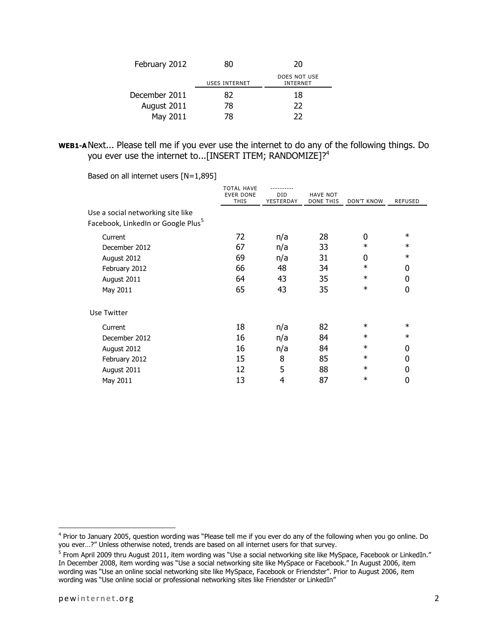| February 2012 | 80                   | 20                              |  |
|---------------|----------------------|---------------------------------|--|
|               | <b>USES INTERNET</b> | DOES NOT USE<br><b>INTERNET</b> |  |
| December 2011 | 82                   | 18                              |  |
| August 2011   | 78                   | 22                              |  |
| May 2011      | 78                   | つつ                              |  |

#### **WEB1-A**Next... Please tell me if you ever use the internet to do any of the following things. Do you ever use the internet to...[INSERT ITEM; RANDOMIZE]?<sup>4</sup>

Based on all internet users [N=1,895]

|                                                                                     | <b>TOTAL HAVE</b><br><b>EVER DONE</b><br><b>THIS</b> | DID<br>YESTERDAY | <b>HAVE NOT</b><br><b>DONE THIS</b> | <b>DON'T KNOW</b> | <b>REFUSED</b> |
|-------------------------------------------------------------------------------------|------------------------------------------------------|------------------|-------------------------------------|-------------------|----------------|
| Use a social networking site like<br>Facebook, LinkedIn or Google Plus <sup>5</sup> |                                                      |                  |                                     |                   |                |
| Current                                                                             | 72                                                   | n/a              | 28                                  | 0                 | $\ast$         |
| December 2012                                                                       | 67                                                   | n/a              | 33                                  | $\ast$            | $\ast$         |
| August 2012                                                                         | 69                                                   | n/a              | 31                                  | 0                 | $\ast$         |
| February 2012                                                                       | 66                                                   | 48               | 34                                  | $\ast$            | 0              |
| August 2011                                                                         | 64                                                   | 43               | 35                                  | $\ast$            | 0              |
| May 2011                                                                            | 65                                                   | 43               | 35                                  | $\ast$            | 0              |
| Use Twitter                                                                         |                                                      |                  |                                     |                   |                |
| Current                                                                             | 18                                                   | n/a              | 82                                  | $\ast$            | $\ast$         |
| December 2012                                                                       | 16                                                   | n/a              | 84                                  | $\ast$            | $\ast$         |
| August 2012                                                                         | 16                                                   | n/a              | 84                                  | $\ast$            | 0              |
| February 2012                                                                       | 15                                                   | 8                | 85                                  | $\ast$            | 0              |
| August 2011                                                                         | 12                                                   | 5                | 88                                  | $\ast$            | 0              |
| May 2011                                                                            | 13                                                   | 4                | 87                                  | $\ast$            | 0              |

 $\overline{\phantom{a}}$ 

<sup>&</sup>lt;sup>4</sup> Prior to January 2005, question wording was "Please tell me if you ever do any of the following when you go online. Do you ever…?" Unless otherwise noted, trends are based on all internet users for that survey.

<sup>&</sup>lt;sup>5</sup> From April 2009 thru August 2011, item wording was "Use a social networking site like MySpace, Facebook or LinkedIn." In December 2008, item wording was "Use a social networking site like MySpace or Facebook." In August 2006, item wording was "Use an online social networking site like MySpace, Facebook or Friendster". Prior to August 2006, item wording was "Use online social or professional networking sites like Friendster or LinkedIn"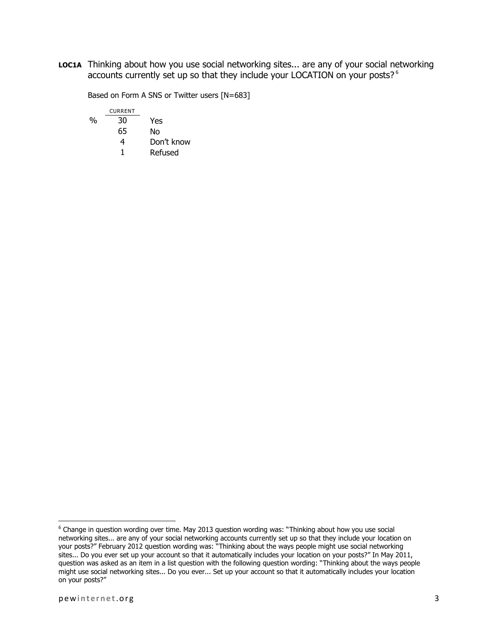**LOC1A** Thinking about how you use social networking sites... are any of your social networking accounts currently set up so that they include your LOCATION on your posts?<sup>6</sup>

Based on Form A SNS or Twitter users [N=683]

|   | <b>CURRENT</b> |            |
|---|----------------|------------|
| % | 30             | Yes        |
|   | 65             | No         |
|   | 4              | Don't know |
|   | 1              | Refused    |
|   |                |            |

 $\overline{\phantom{a}}$ 

<sup>&</sup>lt;sup>6</sup> Change in question wording over time. May 2013 question wording was: "Thinking about how you use social networking sites... are any of your social networking accounts currently set up so that they include your location on your posts?" February 2012 question wording was: "Thinking about the ways people might use social networking sites... Do you ever set up your account so that it automatically includes your location on your posts?" In May 2011, question was asked as an item in a list question with the following question wording: "Thinking about the ways people might use social networking sites... Do you ever... Set up your account so that it automatically includes your location on your posts?"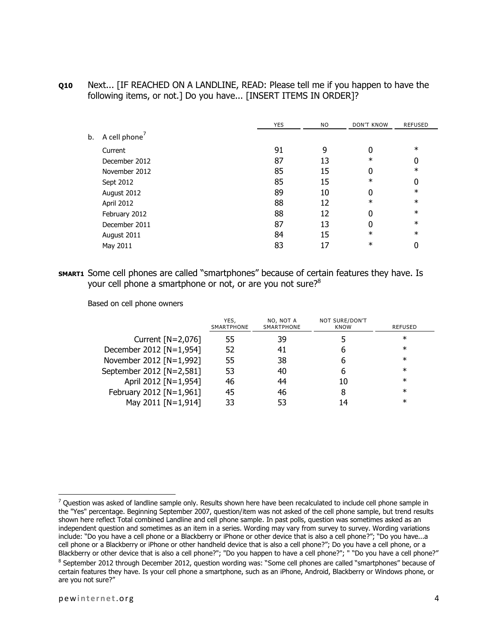**Q10** Next... [IF REACHED ON A LANDLINE, READ: Please tell me if you happen to have the following items, or not.] Do you have... [INSERT ITEMS IN ORDER]?

|    |                           | <b>YES</b> | NO. | <b>DON'T KNOW</b> | <b>REFUSED</b> |
|----|---------------------------|------------|-----|-------------------|----------------|
| b. | A cell phone <sup>'</sup> |            |     |                   |                |
|    | Current                   | 91         | 9   | 0                 | $\ast$         |
|    | December 2012             | 87         | 13  | $\ast$            | 0              |
|    | November 2012             | 85         | 15  | 0                 | $\ast$         |
|    | Sept 2012                 | 85         | 15  | $\ast$            | 0              |
|    | August 2012               | 89         | 10  | 0                 | $\ast$         |
|    | April 2012                | 88         | 12  | $\ast$            | $\ast$         |
|    | February 2012             | 88         | 12  | 0                 | $\ast$         |
|    | December 2011             | 87         | 13  | 0                 | $\ast$         |
|    | August 2011               | 84         | 15  | $\ast$            | $\ast$         |
|    | May 2011                  | 83         | 17  | $\ast$            | 0              |
|    |                           |            |     |                   |                |

**SMART1** Some cell phones are called "smartphones" because of certain features they have. Is your cell phone a smartphone or not, or are you not sure? $8^8$ 

Based on cell phone owners

|                          | YES.<br>SMARTPHONE | NO, NOT A<br><b>SMARTPHONE</b> | NOT SURE/DON'T<br><b>KNOW</b> | REFUSED |
|--------------------------|--------------------|--------------------------------|-------------------------------|---------|
| Current $[N=2,076]$      | 55                 | 39                             |                               | $\ast$  |
| December 2012 [N=1,954]  | 52                 | 41                             | h                             | $\ast$  |
| November 2012 [N=1,992]  | 55                 | 38                             | 6                             | $\ast$  |
| September 2012 [N=2,581] | 53                 | 40                             | 6                             | $\ast$  |
| April 2012 [N=1,954]     | 46                 | 44                             | 10                            | $\ast$  |
| February 2012 [N=1,961]  | 45                 | 46                             | 8                             | $\ast$  |
| May 2011 [N=1,914]       | 33                 | 53                             | 14                            | $\ast$  |

 $\overline{a}$ 

 $^7$  Question was asked of landline sample only. Results shown here have been recalculated to include cell phone sample in the "Yes" percentage. Beginning September 2007, question/item was not asked of the cell phone sample, but trend results shown here reflect Total combined Landline and cell phone sample. In past polls, question was sometimes asked as an independent question and sometimes as an item in a series. Wording may vary from survey to survey. Wording variations include: "Do you have a cell phone or a Blackberry or iPhone or other device that is also a cell phone?"; "Do you have...a cell phone or a Blackberry or iPhone or other handheld device that is also a cell phone?"; Do you have a cell phone, or a Blackberry or other device that is also a cell phone?"; "Do you happen to have a cell phone?"; " "Do you have a cell phone?"

<sup>&</sup>lt;sup>8</sup> September 2012 through December 2012, question wording was: "Some cell phones are called "smartphones" because of certain features they have. Is your cell phone a smartphone, such as an iPhone, Android, Blackberry or Windows phone, or are you not sure?"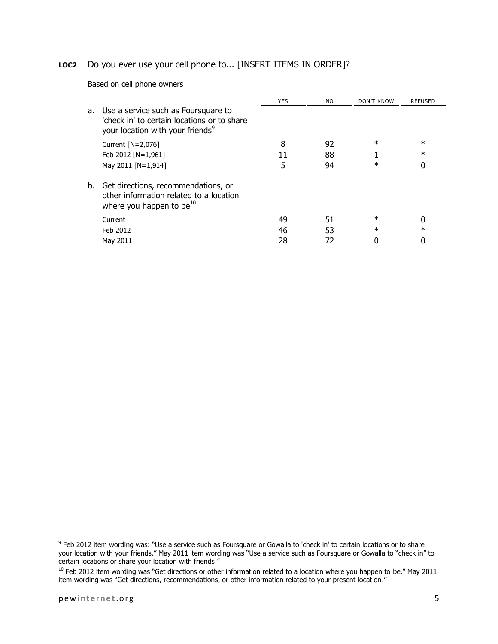### **LOC2** Do you ever use your cell phone to... [INSERT ITEMS IN ORDER]?

Based on cell phone owners

|    |                                                                                                                                    | <b>YES</b> | NO. | DON'T KNOW | <b>REFUSED</b> |
|----|------------------------------------------------------------------------------------------------------------------------------------|------------|-----|------------|----------------|
| a. | Use a service such as Foursquare to<br>'check in' to certain locations or to share<br>your location with your friends <sup>9</sup> |            |     |            |                |
|    | Current $[N=2,076]$                                                                                                                | 8          | 92  | $\ast$     | $\ast$         |
|    | Feb 2012 [N=1,961]                                                                                                                 | 11         | 88  |            | $\ast$         |
|    | May 2011 [N=1,914]                                                                                                                 | 5          | 94  | $\ast$     | 0              |
| b. | Get directions, recommendations, or<br>other information related to a location<br>where you happen to be $^{10}$                   |            |     |            |                |
|    | Current                                                                                                                            | 49         | 51  | $\ast$     | 0              |
|    | Feb 2012                                                                                                                           | 46         | 53  | $\ast$     | $^\ast$        |
|    | May 2011                                                                                                                           | 28         | 72  |            |                |

 9 Feb 2012 item wording was: "Use a service such as Foursquare or Gowalla to 'check in' to certain locations or to share your location with your friends." May 2011 item wording was "Use a service such as Foursquare or Gowalla to "check in" to certain locations or share your location with friends."

 $10$  Feb 2012 item wording was "Get directions or other information related to a location where you happen to be." May 2011 item wording was "Get directions, recommendations, or other information related to your present location."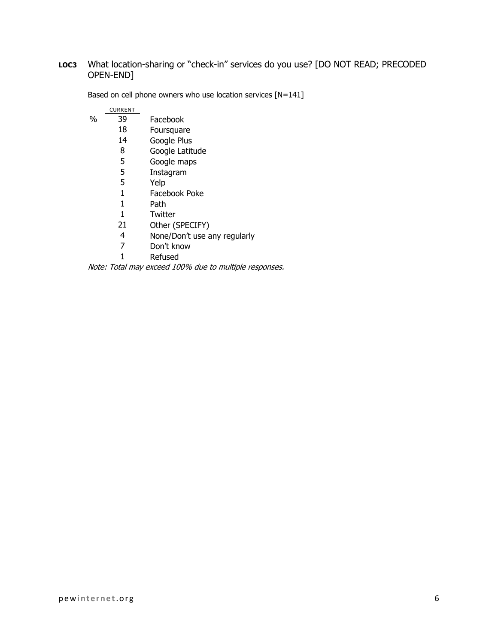#### **LOC3** What location-sharing or "check-in" services do you use? [DO NOT READ; PRECODED OPEN-END]

|   | <b>CURRENT</b> |                              |
|---|----------------|------------------------------|
| % | 39             | Facebook                     |
|   | 18             | Foursquare                   |
|   | 14             | Google Plus                  |
|   | 8              | Google Latitude              |
|   | 5              | Google maps                  |
|   | 5              | Instagram                    |
|   | 5              | Yelp                         |
|   | 1              | Facebook Poke                |
|   | 1              | Path                         |
|   | 1              | Twitter                      |
|   | 21             | Other (SPECIFY)              |
|   | 4              | None/Don't use any regularly |

Based on cell phone owners who use location services [N=141]

- Don't know
- Refused

Note: Total may exceed 100% due to multiple responses.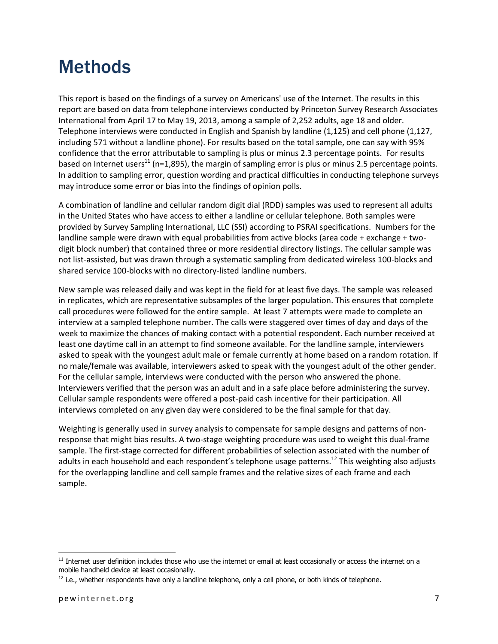# Methods

This report is based on the findings of a survey on Americans' use of the Internet. The results in this report are based on data from telephone interviews conducted by Princeton Survey Research Associates International from April 17 to May 19, 2013, among a sample of 2,252 adults, age 18 and older. Telephone interviews were conducted in English and Spanish by landline (1,125) and cell phone (1,127, including 571 without a landline phone). For results based on the total sample, one can say with 95% confidence that the error attributable to sampling is plus or minus 2.3 percentage points. For results based on Internet users<sup>11</sup> (n=1,895), the margin of sampling error is plus or minus 2.5 percentage points. In addition to sampling error, question wording and practical difficulties in conducting telephone surveys may introduce some error or bias into the findings of opinion polls.

A combination of landline and cellular random digit dial (RDD) samples was used to represent all adults in the United States who have access to either a landline or cellular telephone. Both samples were provided by Survey Sampling International, LLC (SSI) according to PSRAI specifications. Numbers for the landline sample were drawn with equal probabilities from active blocks (area code + exchange + twodigit block number) that contained three or more residential directory listings. The cellular sample was not list-assisted, but was drawn through a systematic sampling from dedicated wireless 100-blocks and shared service 100-blocks with no directory-listed landline numbers.

New sample was released daily and was kept in the field for at least five days. The sample was released in replicates, which are representative subsamples of the larger population. This ensures that complete call procedures were followed for the entire sample. At least 7 attempts were made to complete an interview at a sampled telephone number. The calls were staggered over times of day and days of the week to maximize the chances of making contact with a potential respondent. Each number received at least one daytime call in an attempt to find someone available. For the landline sample, interviewers asked to speak with the youngest adult male or female currently at home based on a random rotation. If no male/female was available, interviewers asked to speak with the youngest adult of the other gender. For the cellular sample, interviews were conducted with the person who answered the phone. Interviewers verified that the person was an adult and in a safe place before administering the survey. Cellular sample respondents were offered a post-paid cash incentive for their participation. All interviews completed on any given day were considered to be the final sample for that day.

Weighting is generally used in survey analysis to compensate for sample designs and patterns of nonresponse that might bias results. A two-stage weighting procedure was used to weight this dual-frame sample. The first-stage corrected for different probabilities of selection associated with the number of adults in each household and each respondent's telephone usage patterns.<sup>12</sup> This weighting also adjusts for the overlapping landline and cell sample frames and the relative sizes of each frame and each sample.

 $\overline{\phantom{a}}$ 

 $11$  Internet user definition includes those who use the internet or email at least occasionally or access the internet on a mobile handheld device at least occasionally.

 $<sup>12</sup>$  i.e., whether respondents have only a landline telephone, only a cell phone, or both kinds of telephone.</sup>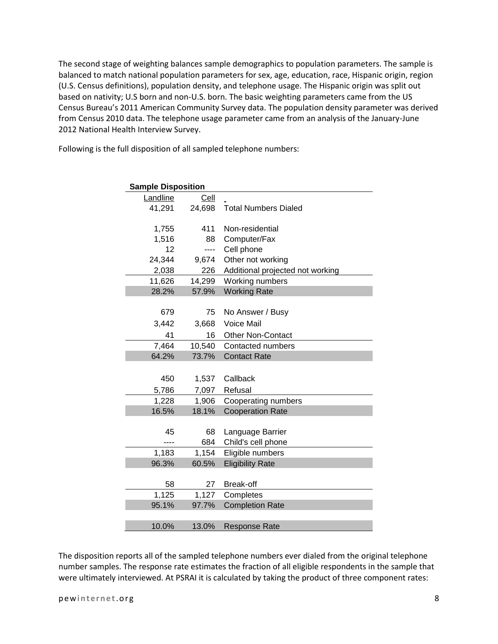The second stage of weighting balances sample demographics to population parameters. The sample is balanced to match national population parameters for sex, age, education, race, Hispanic origin, region (U.S. Census definitions), population density, and telephone usage. The Hispanic origin was split out based on nativity; U.S born and non-U.S. born. The basic weighting parameters came from the US Census Bureau's 2011 American Community Survey data. The population density parameter was derived from Census 2010 data. The telephone usage parameter came from an analysis of the January-June 2012 National Health Interview Survey.

Following is the full disposition of all sampled telephone numbers:

| <b>Sample Disposition</b> |        |                                  |
|---------------------------|--------|----------------------------------|
| Landline                  | Cell   |                                  |
| 41,291                    | 24,698 | <b>Total Numbers Dialed</b>      |
|                           |        |                                  |
| 1,755                     | 411    | Non-residential                  |
| 1,516                     | 88     | Computer/Fax                     |
| 12                        | ----   | Cell phone                       |
| 24,344                    | 9,674  | Other not working                |
| 2,038                     | 226    | Additional projected not working |
| 11,626                    | 14,299 | Working numbers                  |
| 28.2%                     | 57.9%  | <b>Working Rate</b>              |
|                           |        |                                  |
| 679                       | 75     | No Answer / Busy                 |
| 3,442                     | 3,668  | <b>Voice Mail</b>                |
| 41                        | 16     | <b>Other Non-Contact</b>         |
| 7,464                     | 10,540 | <b>Contacted numbers</b>         |
| 64.2%                     | 73.7%  | <b>Contact Rate</b>              |
|                           |        |                                  |
| 450                       | 1,537  | Callback                         |
| 5,786                     | 7,097  | Refusal                          |
| 1,228                     | 1,906  | Cooperating numbers              |
| 16.5%                     | 18.1%  | <b>Cooperation Rate</b>          |
|                           |        |                                  |
| 45                        | 68     | Language Barrier                 |
| ----                      | 684    | Child's cell phone               |
| 1,183                     | 1,154  | Eligible numbers                 |
| 96.3%                     | 60.5%  | <b>Eligibility Rate</b>          |
|                           |        |                                  |
| 58                        | 27     | <b>Break-off</b>                 |
| 1,125                     | 1,127  | Completes                        |
| 95.1%                     | 97.7%  | <b>Completion Rate</b>           |
|                           |        |                                  |
| 10.0%                     | 13.0%  | <b>Response Rate</b>             |

The disposition reports all of the sampled telephone numbers ever dialed from the original telephone number samples. The response rate estimates the fraction of all eligible respondents in the sample that were ultimately interviewed. At PSRAI it is calculated by taking the product of three component rates: